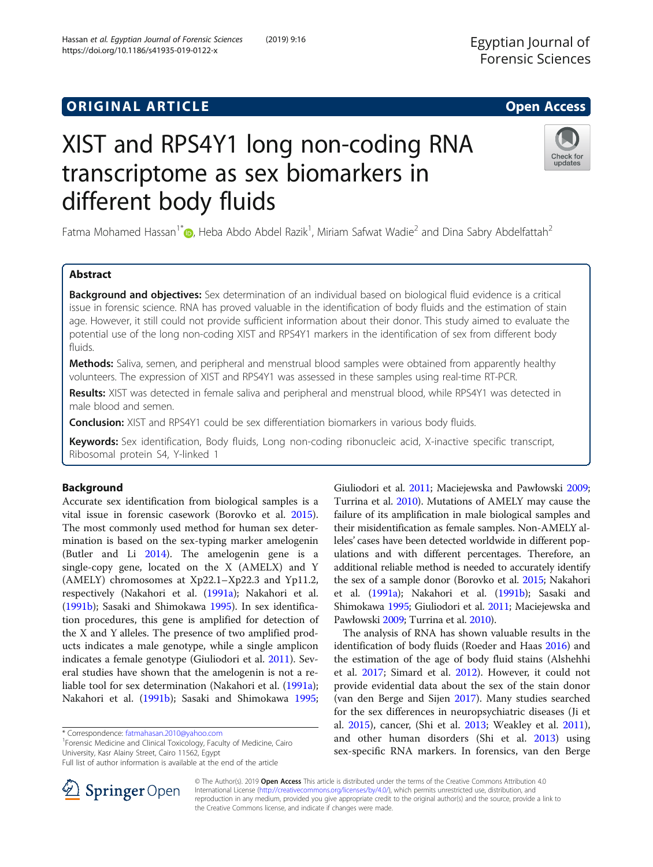# **ORIGINAL ARTICLE CONSERVERSITY OF ACCESS**

# XIST and RPS4Y1 long non-coding RNA transcriptome as sex biomarkers in different body fluids

Fatma Mohamed Hassan<sup>1\*</sup>�, Heba Abdo Abdel Razik<sup>1</sup>, Miriam Safwat Wadie<sup>2</sup> and Dina Sabry Abdelfattah<sup>2</sup>

# Abstract

**Background and objectives:** Sex determination of an individual based on biological fluid evidence is a critical issue in forensic science. RNA has proved valuable in the identification of body fluids and the estimation of stain age. However, it still could not provide sufficient information about their donor. This study aimed to evaluate the potential use of the long non-coding XIST and RPS4Y1 markers in the identification of sex from different body fluids.

Methods: Saliva, semen, and peripheral and menstrual blood samples were obtained from apparently healthy volunteers. The expression of XIST and RPS4Y1 was assessed in these samples using real-time RT-PCR.

Results: XIST was detected in female saliva and peripheral and menstrual blood, while RPS4Y1 was detected in male blood and semen.

**Conclusion:** XIST and RPS4Y1 could be sex differentiation biomarkers in various body fluids.

Keywords: Sex identification, Body fluids, Long non-coding ribonucleic acid, X-inactive specific transcript, Ribosomal protein S4, Y-linked 1

# Background

Accurate sex identification from biological samples is a vital issue in forensic casework (Borovko et al. [2015](#page-4-0)). The most commonly used method for human sex determination is based on the sex-typing marker amelogenin (Butler and Li [2014\)](#page-4-0). The amelogenin gene is a single-copy gene, located on the X (AMELX) and Y (AMELY) chromosomes at Xp22.1–Xp22.3 and Yp11.2, respectively (Nakahori et al. ([1991a\)](#page-4-0); Nakahori et al. ([1991b\)](#page-4-0); Sasaki and Shimokawa [1995](#page-4-0)). In sex identification procedures, this gene is amplified for detection of the X and Y alleles. The presence of two amplified products indicates a male genotype, while a single amplicon indicates a female genotype (Giuliodori et al. [2011](#page-4-0)). Several studies have shown that the amelogenin is not a reliable tool for sex determination (Nakahori et al. [\(1991a](#page-4-0)); Nakahori et al. [\(1991b](#page-4-0)); Sasaki and Shimokawa [1995](#page-4-0);

\* Correspondence: [fatmahasan.2010@yahoo.com](mailto:fatmahasan.2010@yahoo.com) <sup>1</sup>

<sup>1</sup> Forensic Medicine and Clinical Toxicology, Faculty of Medicine, Cairo University, Kasr Alainy Street, Cairo 11562, Egypt

© The Author(s). 2019 Open Access This article is distributed under the terms of the Creative Commons Attribution 4.0 International License ([http://creativecommons.org/licenses/by/4.0/\)](http://creativecommons.org/licenses/by/4.0/), which permits unrestricted use, distribution, and reproduction in any medium, provided you give appropriate credit to the original author(s) and the source, provide a link to the Creative Commons license, and indicate if changes were made.

Turrina et al. [2010](#page-4-0)). Mutations of AMELY may cause the failure of its amplification in male biological samples and their misidentification as female samples. Non-AMELY alleles' cases have been detected worldwide in different populations and with different percentages. Therefore, an additional reliable method is needed to accurately identify the sex of a sample donor (Borovko et al. [2015](#page-4-0); Nakahori et al. [\(1991a\)](#page-4-0); Nakahori et al. ([1991b\)](#page-4-0); Sasaki and Shimokawa [1995](#page-4-0); Giuliodori et al. [2011;](#page-4-0) Maciejewska and Pawłowski [2009;](#page-4-0) Turrina et al. [2010\)](#page-4-0).

Giuliodori et al. [2011;](#page-4-0) Maciejewska and Pawłowski [2009](#page-4-0);

The analysis of RNA has shown valuable results in the identification of body fluids (Roeder and Haas [2016](#page-4-0)) and the estimation of the age of body fluid stains (Alshehhi et al. [2017;](#page-4-0) Simard et al. [2012](#page-4-0)). However, it could not provide evidential data about the sex of the stain donor (van den Berge and Sijen [2017](#page-4-0)). Many studies searched for the sex differences in neuropsychiatric diseases (Ji et al. [2015](#page-4-0)), cancer, (Shi et al. [2013;](#page-4-0) Weakley et al. [2011](#page-4-0)), and other human disorders (Shi et al. [2013\)](#page-4-0) using sex-specific RNA markers. In forensics, van den Berge





Full list of author information is available at the end of the article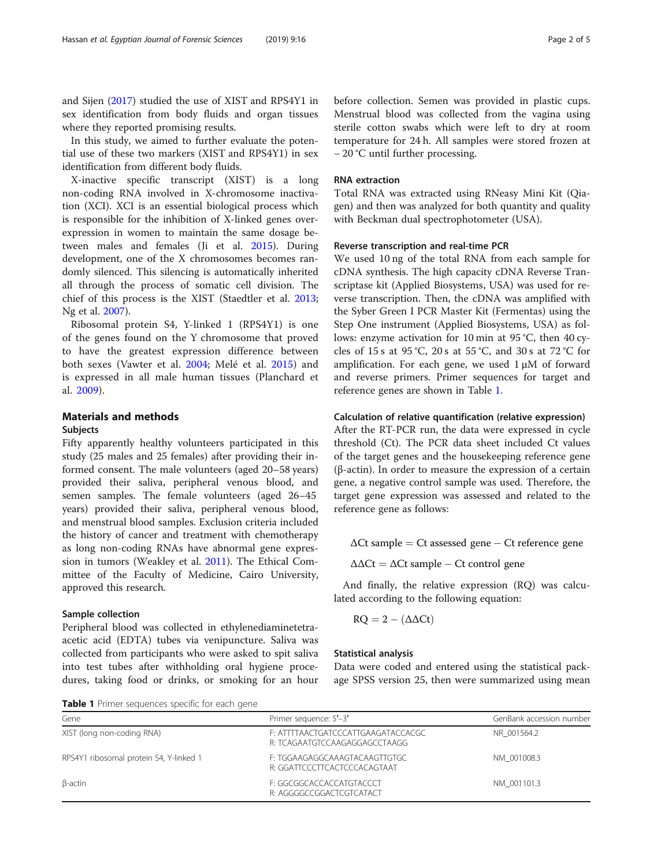and Sijen [\(2017\)](#page-4-0) studied the use of XIST and RPS4Y1 in sex identification from body fluids and organ tissues where they reported promising results.

In this study, we aimed to further evaluate the potential use of these two markers (XIST and RPS4Y1) in sex identification from different body fluids.

X-inactive specific transcript (XIST) is a long non-coding RNA involved in X-chromosome inactivation (XCI). XCI is an essential biological process which is responsible for the inhibition of X-linked genes overexpression in women to maintain the same dosage between males and females (Ji et al. [2015\)](#page-4-0). During development, one of the X chromosomes becomes randomly silenced. This silencing is automatically inherited all through the process of somatic cell division. The chief of this process is the XIST (Staedtler et al. [2013](#page-4-0); Ng et al. [2007\)](#page-4-0).

Ribosomal protein S4, Y-linked 1 (RPS4Y1) is one of the genes found on the Y chromosome that proved to have the greatest expression difference between both sexes (Vawter et al. [2004;](#page-4-0) Melé et al. [2015\)](#page-4-0) and is expressed in all male human tissues (Planchard et al. [2009\)](#page-4-0).

# Materials and methods

#### Subjects

Fifty apparently healthy volunteers participated in this study (25 males and 25 females) after providing their informed consent. The male volunteers (aged 20–58 years) provided their saliva, peripheral venous blood, and semen samples. The female volunteers (aged 26–45 years) provided their saliva, peripheral venous blood, and menstrual blood samples. Exclusion criteria included the history of cancer and treatment with chemotherapy as long non-coding RNAs have abnormal gene expression in tumors (Weakley et al. [2011\)](#page-4-0). The Ethical Committee of the Faculty of Medicine, Cairo University, approved this research.

#### Sample collection

Peripheral blood was collected in ethylenediaminetetraacetic acid (EDTA) tubes via venipuncture. Saliva was collected from participants who were asked to spit saliva into test tubes after withholding oral hygiene procedures, taking food or drinks, or smoking for an hour before collection. Semen was provided in plastic cups. Menstrual blood was collected from the vagina using sterile cotton swabs which were left to dry at room temperature for 24 h. All samples were stored frozen at − 20 °C until further processing.

# RNA extraction

Total RNA was extracted using RNeasy Mini Kit (Qiagen) and then was analyzed for both quantity and quality with Beckman dual spectrophotometer (USA).

#### Reverse transcription and real-time PCR

We used 10 ng of the total RNA from each sample for cDNA synthesis. The high capacity cDNA Reverse Transcriptase kit (Applied Biosystems, USA) was used for reverse transcription. Then, the cDNA was amplified with the Syber Green I PCR Master Kit (Fermentas) using the Step One instrument (Applied Biosystems, USA) as follows: enzyme activation for 10 min at 95 °C, then 40 cycles of 15 s at 95 °C, 20 s at 55 °C, and 30 s at 72 °C for amplification. For each gene, we used 1 μM of forward and reverse primers. Primer sequences for target and reference genes are shown in Table 1.

# Calculation of relative quantification (relative expression)

After the RT-PCR run, the data were expressed in cycle threshold (Ct). The PCR data sheet included Ct values of the target genes and the housekeeping reference gene (β-actin). In order to measure the expression of a certain gene, a negative control sample was used. Therefore, the target gene expression was assessed and related to the reference gene as follows:

 $\Delta$ Ct sample = Ct assessed gene – Ct reference gene

 $\Delta \Delta \text{C}t = \Delta \text{C}t$  sample – Ct control gene

And finally, the relative expression (RQ) was calculated according to the following equation:

$$
RQ = 2 - (\Delta \Delta Ct)
$$

#### Statistical analysis

Data were coded and entered using the statistical package SPSS version 25, then were summarized using mean

Table 1 Primer sequences specific for each gene

| <b>TADIC I</b> FIIIIEI SCUUCHLES SPECINC TOI CACH UCHE |                                                                     |                          |  |  |  |
|--------------------------------------------------------|---------------------------------------------------------------------|--------------------------|--|--|--|
| Gene                                                   | Primer sequence: 5'-3'                                              | GenBank accession number |  |  |  |
| XIST (long non-coding RNA)                             | F: ATTTTAACTGATCCCATTGAAGATACCACGC<br>R: TCAGAATGTCCAAGAGGAGCCTAAGG | NR 001564.2              |  |  |  |
| RPS4Y1 ribosomal protein S4, Y-linked 1                | F: TGGAAGAGGCAAAGTACAAGTTGTGC<br>R: GGATTCCCTTCACTCCCACAGTAAT       | NM 001008.3              |  |  |  |
| β-actin                                                | F: GGCGGCACCACCATGTACCCT<br>R: AGGGGCCGGACTCGTCATACT                | NM 001101.3              |  |  |  |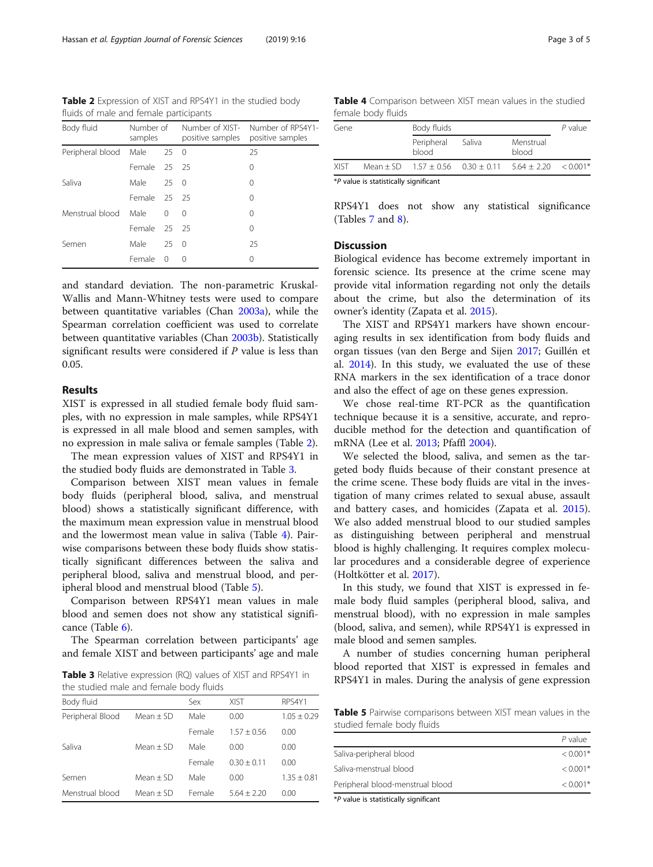Table 2 Expression of XIST and RPS4Y1 in the studied body fluids of male and female participants

| Body fluid       | Number of<br>samples |              | Number of XIST-<br>positive samples | Number of RPS4Y1-<br>positive samples |
|------------------|----------------------|--------------|-------------------------------------|---------------------------------------|
| Peripheral blood | Male                 | $25 \quad 0$ |                                     | 25                                    |
|                  | Female 25 25         |              |                                     | 0                                     |
| Saliva           | Male                 | $25 \quad 0$ |                                     | 0                                     |
|                  | Female 25 25         |              |                                     | 0                                     |
| Menstrual blood  | Male                 | $\Omega$     | $\Omega$                            | 0                                     |
|                  | Female 25 25         |              |                                     | 0                                     |
| Semen            | Male                 | 250          |                                     | 25                                    |
|                  | Female               | $\Omega$     | ∩                                   | 0                                     |

and standard deviation. The non-parametric Kruskal-Wallis and Mann-Whitney tests were used to compare between quantitative variables (Chan [2003a\)](#page-4-0), while the Spearman correlation coefficient was used to correlate between quantitative variables (Chan [2003b](#page-4-0)). Statistically significant results were considered if P value is less than 0.05.

# Results

XIST is expressed in all studied female body fluid samples, with no expression in male samples, while RPS4Y1 is expressed in all male blood and semen samples, with no expression in male saliva or female samples (Table 2).

The mean expression values of XIST and RPS4Y1 in the studied body fluids are demonstrated in Table 3.

Comparison between XIST mean values in female body fluids (peripheral blood, saliva, and menstrual blood) shows a statistically significant difference, with the maximum mean expression value in menstrual blood and the lowermost mean value in saliva (Table 4). Pairwise comparisons between these body fluids show statistically significant differences between the saliva and peripheral blood, saliva and menstrual blood, and peripheral blood and menstrual blood (Table 5).

Comparison between RPS4Y1 mean values in male blood and semen does not show any statistical significance (Table [6\)](#page-3-0).

The Spearman correlation between participants' age and female XIST and between participants' age and male

Table 3 Relative expression (RQ) values of XIST and RPS4Y1 in the studied male and female body fluids

| Body fluid       |             | Sex    | <b>XIST</b>   | RPS4Y1        |
|------------------|-------------|--------|---------------|---------------|
| Peripheral Blood | $Mean + SD$ | Male   | 0.00          | $1.05 + 0.29$ |
|                  |             | Female | $1.57 + 0.56$ | 0.00          |
| Saliva           | $Mean + SD$ | Male   | 0.00          | 0.00          |
|                  |             | Female | $0.30 + 0.11$ | 0.00          |
| Semen            | $Mean + SD$ | Male   | 0.00          | $1.35 + 0.81$ |
| Menstrual blood  | $Mean + SD$ | Female | $5.64 + 2.20$ | 0.00          |

|             | <b>ICITION DOUT HUIUS</b> |                     |                                                               |                    |            |
|-------------|---------------------------|---------------------|---------------------------------------------------------------|--------------------|------------|
| Gene        |                           | Body fluids         | $P$ value                                                     |                    |            |
|             |                           | Peripheral<br>blood | Saliva                                                        | Menstrual<br>blood |            |
| <b>XIST</b> |                           |                     | Mean $\pm$ SD $1.57 \pm 0.56$ 0.30 $\pm$ 0.11 5.64 $\pm$ 2.20 |                    | $< 0.001*$ |

\*P value is statistically significant

RPS4Y1 does not show any statistical significance (Tables [7](#page-3-0) and [8\)](#page-3-0).

# **Discussion**

Biological evidence has become extremely important in forensic science. Its presence at the crime scene may provide vital information regarding not only the details about the crime, but also the determination of its owner's identity (Zapata et al. [2015](#page-4-0)).

The XIST and RPS4Y1 markers have shown encouraging results in sex identification from body fluids and organ tissues (van den Berge and Sijen [2017](#page-4-0); Guillén et al. [2014](#page-4-0)). In this study, we evaluated the use of these RNA markers in the sex identification of a trace donor and also the effect of age on these genes expression.

We chose real-time RT-PCR as the quantification technique because it is a sensitive, accurate, and reproducible method for the detection and quantification of mRNA (Lee et al. [2013;](#page-4-0) Pfaffl [2004\)](#page-4-0).

We selected the blood, saliva, and semen as the targeted body fluids because of their constant presence at the crime scene. These body fluids are vital in the investigation of many crimes related to sexual abuse, assault and battery cases, and homicides (Zapata et al. [2015](#page-4-0)). We also added menstrual blood to our studied samples as distinguishing between peripheral and menstrual blood is highly challenging. It requires complex molecular procedures and a considerable degree of experience (Holtkötter et al. [2017\)](#page-4-0).

In this study, we found that XIST is expressed in female body fluid samples (peripheral blood, saliva, and menstrual blood), with no expression in male samples (blood, saliva, and semen), while RPS4Y1 is expressed in male blood and semen samples.

A number of studies concerning human peripheral blood reported that XIST is expressed in females and RPS4Y1 in males. During the analysis of gene expression

Table 5 Pairwise comparisons between XIST mean values in the studied female body fluids

|                                  | P value    |
|----------------------------------|------------|
| Saliva-peripheral blood          | $< 0.001*$ |
| Saliva-menstrual blood           | $< 0.001*$ |
| Peripheral blood-menstrual blood | $< 0.001*$ |
|                                  |            |

\*P value is statistically significant

Table 4 Comparison between XIST mean values in the studied female body fluids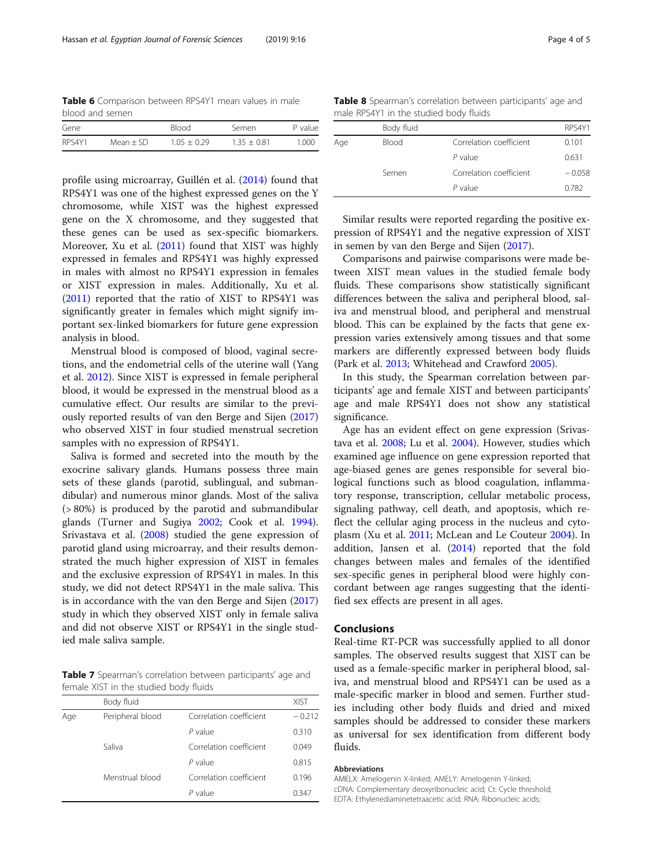<span id="page-3-0"></span>Table 6 Comparison between RPS4Y1 mean values in male blood and semen

| Gene   |             | <b>Blood</b> | Semen         | P value |
|--------|-------------|--------------|---------------|---------|
| RPS4Y1 | Mean $+$ SD | $105 + 029$  | $1.35 + 0.81$ | 1.000   |

profile using microarray, Guillén et al. [\(2014\)](#page-4-0) found that RPS4Y1 was one of the highest expressed genes on the Y chromosome, while XIST was the highest expressed gene on the X chromosome, and they suggested that these genes can be used as sex-specific biomarkers. Moreover, Xu et al. [\(2011\)](#page-4-0) found that XIST was highly expressed in females and RPS4Y1 was highly expressed in males with almost no RPS4Y1 expression in females or XIST expression in males. Additionally, Xu et al. ([2011](#page-4-0)) reported that the ratio of XIST to RPS4Y1 was significantly greater in females which might signify important sex-linked biomarkers for future gene expression analysis in blood.

Menstrual blood is composed of blood, vaginal secretions, and the endometrial cells of the uterine wall (Yang et al. [2012\)](#page-4-0). Since XIST is expressed in female peripheral blood, it would be expressed in the menstrual blood as a cumulative effect. Our results are similar to the previously reported results of van den Berge and Sijen ([2017](#page-4-0)) who observed XIST in four studied menstrual secretion samples with no expression of RPS4Y1.

Saliva is formed and secreted into the mouth by the exocrine salivary glands. Humans possess three main sets of these glands (parotid, sublingual, and submandibular) and numerous minor glands. Most of the saliva (> 80%) is produced by the parotid and submandibular glands (Turner and Sugiya [2002;](#page-4-0) Cook et al. [1994](#page-4-0)). Srivastava et al. [\(2008\)](#page-4-0) studied the gene expression of parotid gland using microarray, and their results demonstrated the much higher expression of XIST in females and the exclusive expression of RPS4Y1 in males. In this study, we did not detect RPS4Y1 in the male saliva. This is in accordance with the van den Berge and Sijen ([2017](#page-4-0)) study in which they observed XIST only in female saliva and did not observe XIST or RPS4Y1 in the single studied male saliva sample.

Table 7 Spearman's correlation between participants' age and female XIST in the studied body fluids

|     | Body fluid       |                         | <b>XIST</b> |
|-----|------------------|-------------------------|-------------|
| Age | Peripheral blood | Correlation coefficient | $-0.212$    |
|     |                  | P value                 | 0.310       |
|     | Saliva           | Correlation coefficient | 0.049       |
|     |                  | $P$ value               | 0.815       |
|     | Menstrual blood  | Correlation coefficient | 0.196       |
|     |                  | P value                 | 0.347       |
|     |                  |                         |             |

| Table 8 Spearman's correlation between participants' age and |  |  |  |
|--------------------------------------------------------------|--|--|--|
| male RPS4Y1 in the studied body fluids                       |  |  |  |

|     | Body fluid |                         | RPS4Y1   |
|-----|------------|-------------------------|----------|
| Age | Blood      | Correlation coefficient | 0.101    |
|     |            | $P$ value               | 0.631    |
|     | Semen      | Correlation coefficient | $-0.058$ |
|     |            | $P$ value               | 0.782    |

Similar results were reported regarding the positive expression of RPS4Y1 and the negative expression of XIST in semen by van den Berge and Sijen [\(2017\)](#page-4-0).

Comparisons and pairwise comparisons were made between XIST mean values in the studied female body fluids. These comparisons show statistically significant differences between the saliva and peripheral blood, saliva and menstrual blood, and peripheral and menstrual blood. This can be explained by the facts that gene expression varies extensively among tissues and that some markers are differently expressed between body fluids (Park et al. [2013;](#page-4-0) Whitehead and Crawford [2005](#page-4-0)).

In this study, the Spearman correlation between participants' age and female XIST and between participants' age and male RPS4Y1 does not show any statistical significance.

Age has an evident effect on gene expression (Srivastava et al. [2008](#page-4-0); Lu et al. [2004\)](#page-4-0). However, studies which examined age influence on gene expression reported that age-biased genes are genes responsible for several biological functions such as blood coagulation, inflammatory response, transcription, cellular metabolic process, signaling pathway, cell death, and apoptosis, which reflect the cellular aging process in the nucleus and cytoplasm (Xu et al. [2011;](#page-4-0) McLean and Le Couteur [2004\)](#page-4-0). In addition, Jansen et al. [\(2014](#page-4-0)) reported that the fold changes between males and females of the identified sex-specific genes in peripheral blood were highly concordant between age ranges suggesting that the identified sex effects are present in all ages.

# Conclusions

Real-time RT-PCR was successfully applied to all donor samples. The observed results suggest that XIST can be used as a female-specific marker in peripheral blood, saliva, and menstrual blood and RPS4Y1 can be used as a male-specific marker in blood and semen. Further studies including other body fluids and dried and mixed samples should be addressed to consider these markers as universal for sex identification from different body fluids.

#### Abbreviations

AMELX: Amelogenin X-linked; AMELY: Amelogenin Y-linked; cDNA: Complementary deoxyribonucleic acid; Ct: Cycle threshold; EDTA: Ethylenediaminetetraacetic acid; RNA: Ribonucleic acids;